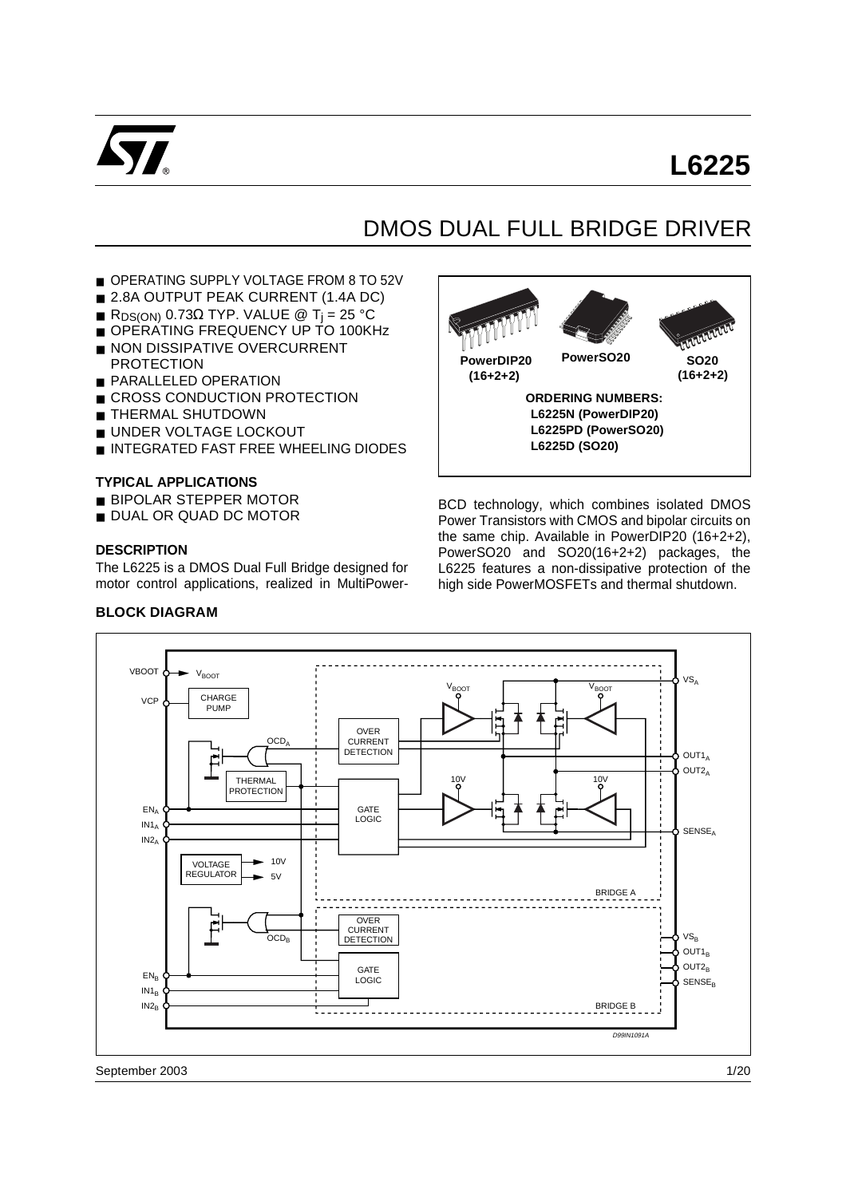

# **L6225**

# DMOS DUAL FULL BRIDGE DRIVER

- OPERATING SUPPLY VOLTAGE FROM 8 TO 52V
- 2.8A OUTPUT PEAK CURRENT (1.4A DC)
- $\blacksquare$  R<sub>DS(ON)</sub> 0.73Ω TYP. VALUE @ T<sub>i</sub> = 25 °C
- OPERATING FREQUENCY UP TO 100KHz
- NON DISSIPATIVE OVERCURRENT **PROTECTION**
- PARALLELED OPERATION
- CROSS CONDUCTION PROTECTION
- THERMAL SHUTDOWN
- UNDER VOLTAGE LOCKOUT
- INTEGRATED FAST FREE WHEELING DIODES

#### **TYPICAL APPLICATIONS**

- BIPOLAR STEPPER MOTOR
- DUAL OR QUAD DC MOTOR

#### **DESCRIPTION**

The L6225 is a DMOS Dual Full Bridge designed for motor control applications, realized in MultiPower-



BCD technology, which combines isolated DMOS Power Transistors with CMOS and bipolar circuits on the same chip. Available in PowerDIP20 (16+2+2), PowerSO20 and SO20(16+2+2) packages, the L6225 features a non-dissipative protection of the high side PowerMOSFETs and thermal shutdown.



September 2003

#### **BLOCK DIAGRAM**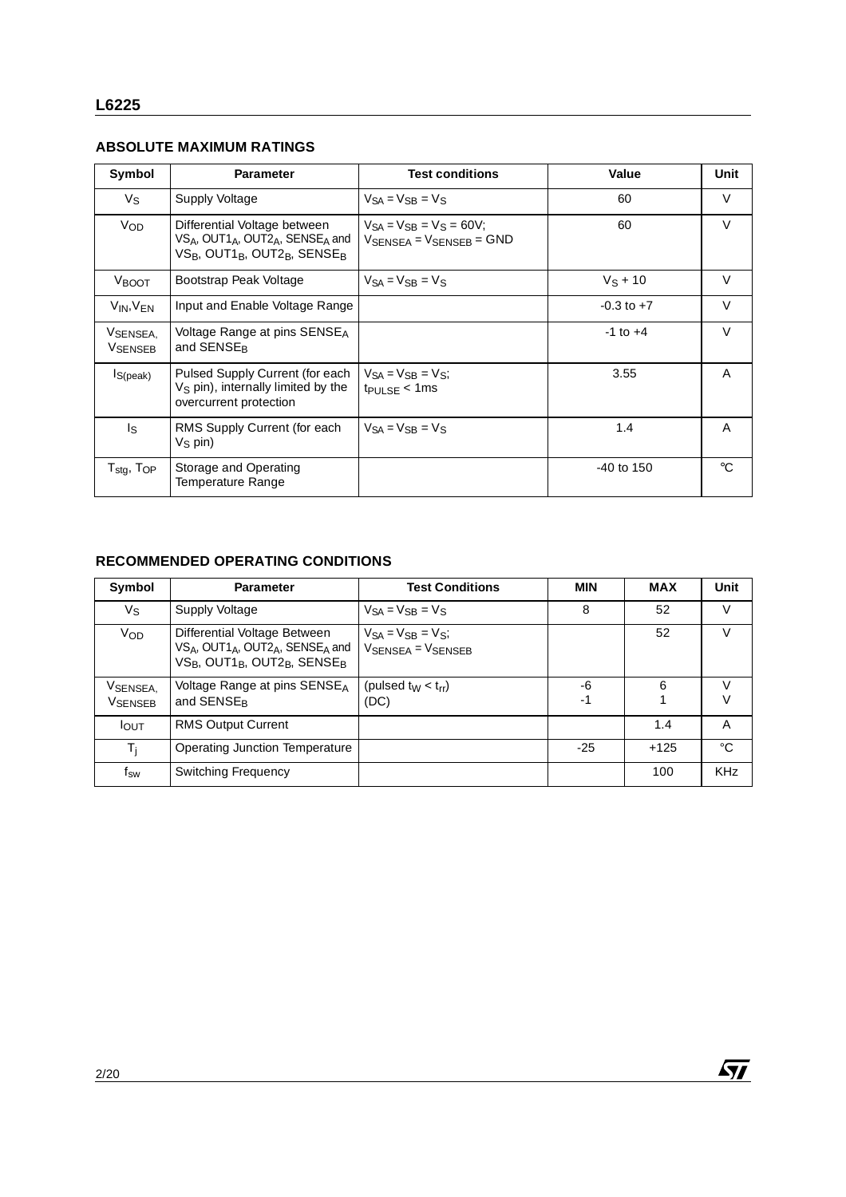#### **ABSOLUTE MAXIMUM RATINGS**

| Symbol                                 | <b>Parameter</b>                                                                                                                                                                    | <b>Test conditions</b>                                                                  | Value          | Unit        |
|----------------------------------------|-------------------------------------------------------------------------------------------------------------------------------------------------------------------------------------|-----------------------------------------------------------------------------------------|----------------|-------------|
| $V_{\rm S}$                            | Supply Voltage                                                                                                                                                                      | $V_{SA} = V_{SB} = V_S$                                                                 | 60             | $\vee$      |
| <b>V<sub>OD</sub></b>                  | Differential Voltage between<br>VSA, OUT1 <sub>A</sub> , OUT2 <sub>A</sub> , SENSE <sub>A</sub> and<br>VS <sub>B</sub> , OUT1 <sub>B</sub> , OUT2 <sub>B</sub> , SENSE <sub>B</sub> | $V_{SA} = V_{SB} = V_S = 60V$ ;<br>$V_{\text{SFNSFA}} = V_{\text{SFNSFR}} = \text{GND}$ | 60             | V           |
| <b>V</b> BOOT                          | Bootstrap Peak Voltage                                                                                                                                                              | $V_{SA} = V_{SB} = V_S$                                                                 | $V_S + 10$     | $\vee$      |
| $V_{IN}$ , $V_{FN}$                    | Input and Enable Voltage Range                                                                                                                                                      |                                                                                         | $-0.3$ to $+7$ | $\vee$      |
| VSENSEA.<br><b>VSENSEB</b>             | Voltage Range at pins SENSE <sub>A</sub><br>and SENSE <sub>B</sub>                                                                                                                  |                                                                                         | $-1$ to $+4$   | $\vee$      |
| $I_{S(peak)}$                          | Pulsed Supply Current (for each<br>$VS$ pin), internally limited by the<br>overcurrent protection                                                                                   | $V_{SA} = V_{SB} = V_{S}$ ;<br>$tp_{ULSE}$ < 1ms                                        | 3.55           | A           |
| Is                                     | RMS Supply Current (for each<br>$V_S$ pin)                                                                                                                                          | $V_{SA} = V_{SB} = V_S$                                                                 | 1.4            | A           |
| ${\sf T}_{\sf stg},\,{\sf T}_{\sf OP}$ | Storage and Operating<br>Temperature Range                                                                                                                                          |                                                                                         | $-40$ to 150   | $^{\circ}C$ |

## **RECOMMENDED OPERATING CONDITIONS**

| Symbol                      | <b>Parameter</b>                                                                                                                                                                                 | <b>Test Conditions</b>                         | <b>MIN</b> | <b>MAX</b> | Unit       |
|-----------------------------|--------------------------------------------------------------------------------------------------------------------------------------------------------------------------------------------------|------------------------------------------------|------------|------------|------------|
| Vs                          | Supply Voltage                                                                                                                                                                                   | $V_{SA} = V_{SB} = V_S$                        | 8          | 52         | $\vee$     |
| Vop                         | Differential Voltage Between<br>VS <sub>A</sub> , OUT1 <sub>A</sub> , OUT2 <sub>A</sub> , SENSE <sub>A</sub> and<br>VS <sub>B</sub> , OUT1 <sub>B</sub> , OUT2 <sub>B</sub> , SENSE <sub>B</sub> | $V_{SA} = V_{SB} = V_{S}$<br>VSENSEA = VSENSEB |            | 52         | V          |
| VSENSEA,<br><b>V</b> SENSEB | Voltage Range at pins SENSE <sub>A</sub><br>and SENSE <sub>R</sub>                                                                                                                               | (pulsed $t_W < t_{rr}$ )<br>(DC)               | -6<br>$-1$ | 6          | V<br>V     |
| <b>I</b> OUT                | <b>RMS Output Current</b>                                                                                                                                                                        |                                                |            | 1.4        | A          |
| $T_i$                       | Operating Junction Temperature                                                                                                                                                                   |                                                | -25        | $+125$     | °C         |
| f <sub>sw</sub>             | <b>Switching Frequency</b>                                                                                                                                                                       |                                                |            | 100        | <b>KHz</b> |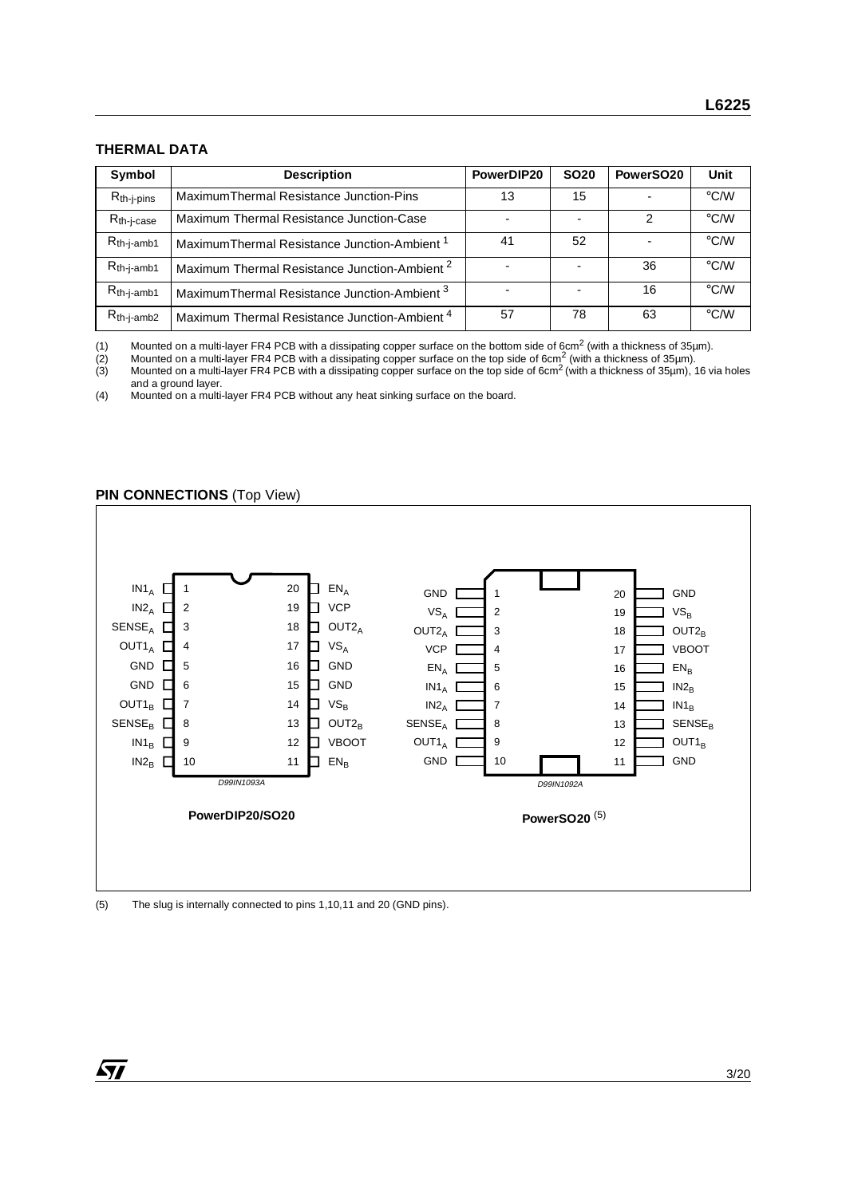#### **THERMAL DATA**

| Symbol          | <b>Description</b>                                       | PowerDIP20 | <b>SO20</b> | PowerSO <sub>20</sub> | Unit               |
|-----------------|----------------------------------------------------------|------------|-------------|-----------------------|--------------------|
| $R_{th-j-pins}$ | Maximum Thermal Resistance Junction-Pins                 | 13         | 15          |                       | $\rm ^{\circ}$ C/W |
| $R_{th-i-case}$ | Maximum Thermal Resistance Junction-Case                 |            |             | 2                     | $\rm ^{\circ}$ C/W |
| $R_{th-j-amb1}$ | Maximum Thermal Resistance Junction-Ambient <sup>1</sup> | 41         | 52          |                       | $\rm ^{\circ}$ C/W |
| $R_{th-j-amb1}$ | Maximum Thermal Resistance Junction-Ambient <sup>2</sup> |            |             | 36                    | $\degree$ C/W      |
| $R_{th-j-amb1}$ | Maximum Thermal Resistance Junction-Ambient <sup>3</sup> |            |             | 16                    | $\rm ^{\circ}$ C/W |
| $R_{th-j-amb2}$ | Maximum Thermal Resistance Junction-Ambient <sup>4</sup> | 57         | 78          | 63                    | $\rm ^{\circ}$ C/W |

(1) Mounted on a multi-layer FR4 PCB with a dissipating copper surface on the bottom side of 6cm<sup>2</sup> (with a thickness of 35µm).<br>(2) Mounted on a multi-layer FR4 PCB with a dissipating copper surface on the top side of 6cm

(2) Mounted on a multi-layer FR4 PCB with a dissipating copper surface on the top side of 6cm<sup>2</sup> (with a thickness of 35µm).

(3) Mounted on a multi-layer FR4 PCB with a dissipating copper surface on the top side of 6cm<sup>2</sup> (with a thickness of 35µm), 16 via holes and a ground layer.

(4) Mounted on a multi-layer FR4 PCB without any heat sinking surface on the board.

#### **PIN CONNECTIONS (Top View)**



(5) The slug is internally connected to pins 1,10,11 and 20 (GND pins).

*ST*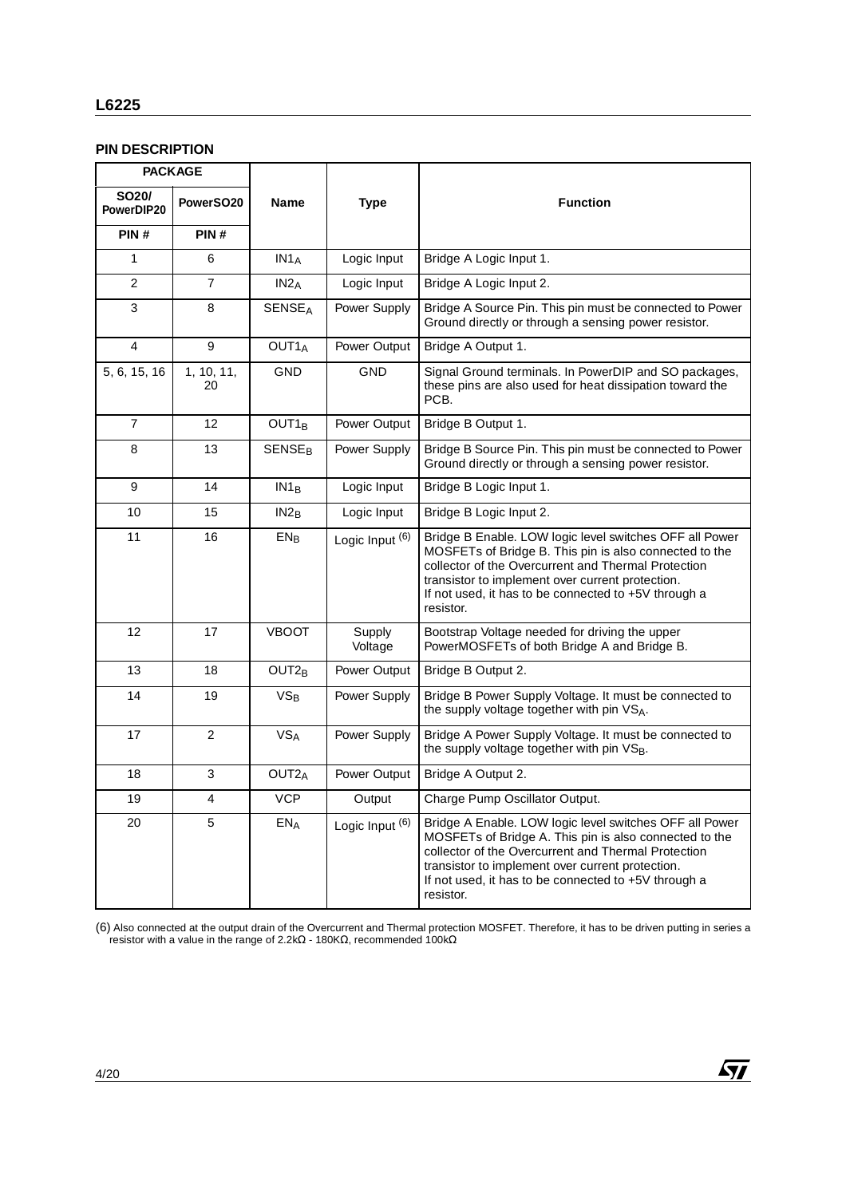#### **L6225**

## **PIN DESCRIPTION**

|                                  | <b>PACKAGE</b>   |                          |                            |                                                                                                                                                                                                                                                                                                   |
|----------------------------------|------------------|--------------------------|----------------------------|---------------------------------------------------------------------------------------------------------------------------------------------------------------------------------------------------------------------------------------------------------------------------------------------------|
| SO <sub>20</sub> /<br>PowerDIP20 | PowerSO20        | <b>Name</b>              | <b>Type</b>                | <b>Function</b>                                                                                                                                                                                                                                                                                   |
| PIN#                             | PIN#             |                          |                            |                                                                                                                                                                                                                                                                                                   |
| 1                                | 6                | IN1A                     | Logic Input                | Bridge A Logic Input 1.                                                                                                                                                                                                                                                                           |
| $\overline{2}$                   | $\overline{7}$   | IN2 <sub>A</sub>         | Logic Input                | Bridge A Logic Input 2.                                                                                                                                                                                                                                                                           |
| 3                                | 8                | <b>SENSEA</b>            | Power Supply               | Bridge A Source Pin. This pin must be connected to Power<br>Ground directly or through a sensing power resistor.                                                                                                                                                                                  |
| $\overline{\mathbf{4}}$          | 9                | OUT <sub>1</sub> A       | Power Output               | Bridge A Output 1.                                                                                                                                                                                                                                                                                |
| 5, 6, 15, 16                     | 1, 10, 11,<br>20 | <b>GND</b>               | <b>GND</b>                 | Signal Ground terminals. In PowerDIP and SO packages,<br>these pins are also used for heat dissipation toward the<br>PCB.                                                                                                                                                                         |
| $\overline{7}$                   | 12               | OUT <sub>1B</sub>        | Power Output               | Bridge B Output 1.                                                                                                                                                                                                                                                                                |
| 8                                | 13               | <b>SENSE<sub>B</sub></b> | Power Supply               | Bridge B Source Pin. This pin must be connected to Power<br>Ground directly or through a sensing power resistor.                                                                                                                                                                                  |
| 9                                | 14               | IN1 <sub>B</sub>         | Logic Input                | Bridge B Logic Input 1.                                                                                                                                                                                                                                                                           |
| 10                               | 15               | IN2 <sub>B</sub>         | Logic Input                | Bridge B Logic Input 2.                                                                                                                                                                                                                                                                           |
| 11                               | 16               | $EN_B$                   | Logic Input (6)            | Bridge B Enable. LOW logic level switches OFF all Power<br>MOSFETs of Bridge B. This pin is also connected to the<br>collector of the Overcurrent and Thermal Protection<br>transistor to implement over current protection.<br>If not used, it has to be connected to +5V through a<br>resistor. |
| 12                               | 17               | <b>VBOOT</b>             | Supply<br>Voltage          | Bootstrap Voltage needed for driving the upper<br>PowerMOSFETs of both Bridge A and Bridge B.                                                                                                                                                                                                     |
| 13                               | 18               | OUT <sub>2B</sub>        | Power Output               | Bridge B Output 2.                                                                                                                                                                                                                                                                                |
| 14                               | 19               | $VS_B$                   | Power Supply               | Bridge B Power Supply Voltage. It must be connected to<br>the supply voltage together with pin VSA.                                                                                                                                                                                               |
| 17                               | $\overline{2}$   | <b>VSA</b>               | Power Supply               | Bridge A Power Supply Voltage. It must be connected to<br>the supply voltage together with pin VSB.                                                                                                                                                                                               |
| 18                               | 3                | OUT <sub>2</sub> A       | Power Output               | Bridge A Output 2.                                                                                                                                                                                                                                                                                |
| 19                               | 4                | <b>VCP</b>               | Output                     | Charge Pump Oscillator Output.                                                                                                                                                                                                                                                                    |
| 20                               | 5                | $EN_A$                   | Logic Input <sup>(6)</sup> | Bridge A Enable. LOW logic level switches OFF all Power<br>MOSFETs of Bridge A. This pin is also connected to the<br>collector of the Overcurrent and Thermal Protection<br>transistor to implement over current protection.<br>If not used, it has to be connected to +5V through a<br>resistor. |

(6) Also connected at the output drain of the Overcurrent and Thermal protection MOSFET. Therefore, it has to be driven putting in series a resistor with a value in the range of 2.2kΩ - 180KΩ, recommended 100kΩ

 $\sqrt{27}$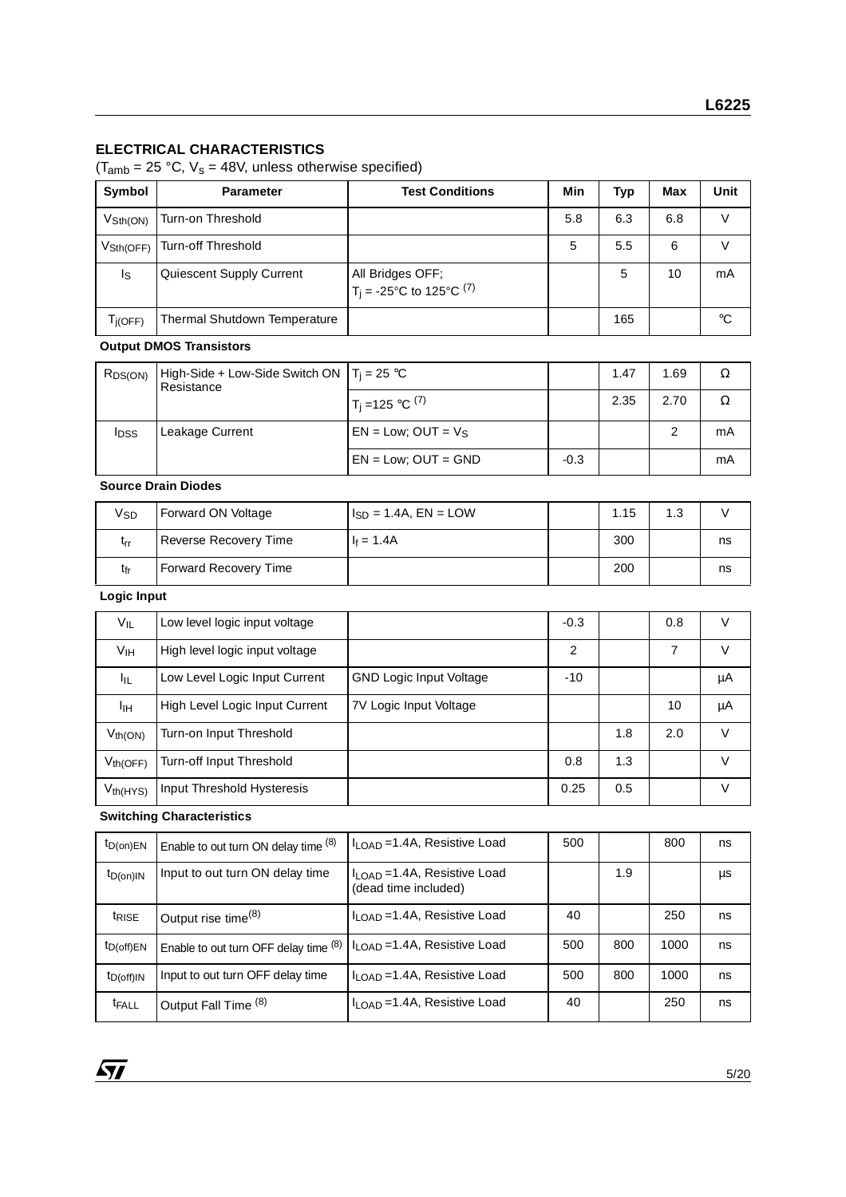#### **ELECTRICAL CHARACTERISTICS**

 $(T_{amb} = 25 \text{ °C}, V_s = 48V,$  unless otherwise specified)

| Symbol                      | <b>Parameter</b>                    | <b>Test Conditions</b>                                           | Min | Typ | Max | Unit |
|-----------------------------|-------------------------------------|------------------------------------------------------------------|-----|-----|-----|------|
| $V_{\text{Sth}(\text{ON})}$ | Turn-on Threshold                   |                                                                  | 5.8 | 6.3 | 6.8 |      |
| V <sub>Sth</sub> (OFF)      | Turn-off Threshold                  |                                                                  | 5   | 5.5 | 6   |      |
| Is                          | Quiescent Supply Current            | All Bridges OFF;<br>$T_i = -25^{\circ}C$ to 125°C <sup>(7)</sup> |     | 5   | 10  | mA   |
| $T_{j(OFF)}$                | <b>Thermal Shutdown Temperature</b> |                                                                  |     | 165 |     | °C   |

#### **Output DMOS Transistors**

| R <sub>DS(ON)</sub> | High-Side + Low-Side Switch ON $ T_i = 25$ °C<br>Resistance |                          |        | 1.47 | 1.69 | Ω  |
|---------------------|-------------------------------------------------------------|--------------------------|--------|------|------|----|
|                     |                                                             | $T_1 = 125$ °C $^{(7)}$  |        | 2.35 | 2.70 | Ω  |
| <b>I</b> DSS        | Leakage Current                                             | $EN = Low$ ; OUT = $V_S$ |        |      | 2    | mA |
|                     |                                                             | $EN = Low$ ; $OUT = GND$ | $-0.3$ |      |      | mA |

#### **Source Drain Diodes**

| Vsp | Forward ON Voltage           | $I_{SD}$ = 1.4A, EN = LOW | 1.15 | 1.3 |    |
|-----|------------------------------|---------------------------|------|-----|----|
| trr | <b>Reverse Recovery Time</b> | $I_f = 1.4A$              | 300  |     | ns |
| tfr | <b>Forward Recovery Time</b> |                           | 200  |     | ns |

#### **Logic Input**

| $V_{IL}$        | Low level logic input voltage  |                                | $-0.3$ |     | 0.8 | V      |
|-----------------|--------------------------------|--------------------------------|--------|-----|-----|--------|
| V <sub>IH</sub> | High level logic input voltage |                                | 2      |     | 7   | v      |
| ŀμ              | Low Level Logic Input Current  | <b>GND Logic Input Voltage</b> | $-10$  |     |     | μA     |
| ŀщ              | High Level Logic Input Current | 7V Logic Input Voltage         |        |     | 10  | μA     |
| $V_{th(ON)}$    | Turn-on Input Threshold        |                                |        | 1.8 | 2.0 | V      |
| $V_{th(OFF)}$   | Turn-off Input Threshold       |                                | 0.8    | 1.3 |     | $\vee$ |
| $V_{th(HYS)}$   | Input Threshold Hysteresis     |                                | 0.25   | 0.5 |     | V      |

**Switching Characteristics**

| $t_{D(on)EN}$           | Enable to out turn ON delay time (8)  | I <sub>LOAD</sub> = 1.4A, Resistive Load                         | 500 |     | 800  | ns |
|-------------------------|---------------------------------------|------------------------------------------------------------------|-----|-----|------|----|
| $t_{D(0n)IN}$           | Input to out turn ON delay time       | I <sub>LOAD</sub> = 1.4A, Resistive Load<br>(dead time included) |     | 1.9 |      | μs |
| <i>t<sub>RISE</sub></i> | Output rise time <sup>(8)</sup>       | $I_{\text{LOAD}}$ =1.4A, Resistive Load                          | 40  |     | 250  | ns |
| $t_{D(off)EN}$          | Enable to out turn OFF delay time (8) | I <sub>LOAD</sub> = 1.4A, Resistive Load                         | 500 | 800 | 1000 | ns |
| $t_{D(off)IN}$          | Input to out turn OFF delay time      | $I_{\text{LOAD}}$ =1.4A, Resistive Load                          | 500 | 800 | 1000 | ns |
| <b>t</b> FALL           | Output Fall Time (8)                  | $I_{\text{LOAD}}$ =1.4A, Resistive Load                          | 40  |     | 250  | ns |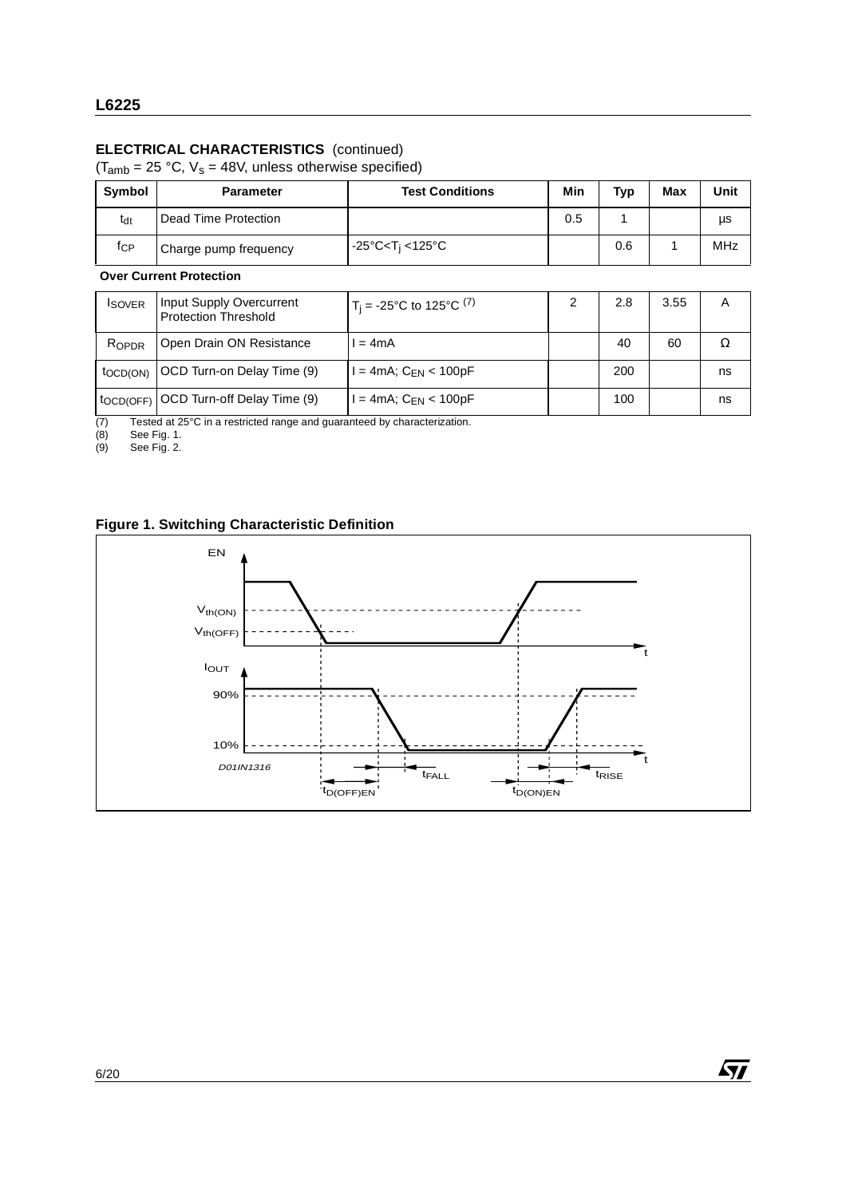## **ELECTRICAL CHARACTERISTICS** (continued)

 $(T<sub>amb</sub> = 25 °C, V<sub>s</sub> = 48V, unless otherwise specified)$ 

| Symbol          | <b>Parameter</b>      | <b>Test Conditions</b>                                         | Min | <b>Typ</b> | Max | Unit |
|-----------------|-----------------------|----------------------------------------------------------------|-----|------------|-----|------|
| t <sub>dt</sub> | Dead Time Protection  |                                                                | 0.5 |            |     | μs   |
| fcP             | Charge pump frequency | $-25^{\circ}$ C <t<sub>i &lt;125<math>^{\circ}</math>C</t<sub> |     | 0.6        |     | MHz  |

**Over Current Protection**

| <b>ISOVER</b>           | Input Supply Overcurrent<br><b>Protection Threshold</b> | $T_i = -25^{\circ}C$ to 125°C <sup>(7)</sup> | 2.8 | 3.55 | Α  |
|-------------------------|---------------------------------------------------------|----------------------------------------------|-----|------|----|
| ROPDR                   | Open Drain ON Resistance                                | $= 4mA$                                      | 40  | 60   |    |
| $to$ CD(ON)             | OCD Turn-on Delay Time (9)                              | l = 4mA; C <sub>EN</sub> < 100pF             | 200 |      | ns |
| $\overline{t}$ OCD(OFF) | OCD Turn-off Delay Time (9)                             | $=$ 4mA; $C_{FN}$ < 100pF                    | 100 |      | ns |

(7) Tested at  $25^{\circ}$ C in a restricted range and guaranteed by characterization.<br>
(8) See Fig. 1.<br>
(9) See Fig. 2.

(8) See Fig. 1.

(9) See Fig. 2.

# **Figure 1. Switching Characteristic Definition**



 $\sqrt{27}$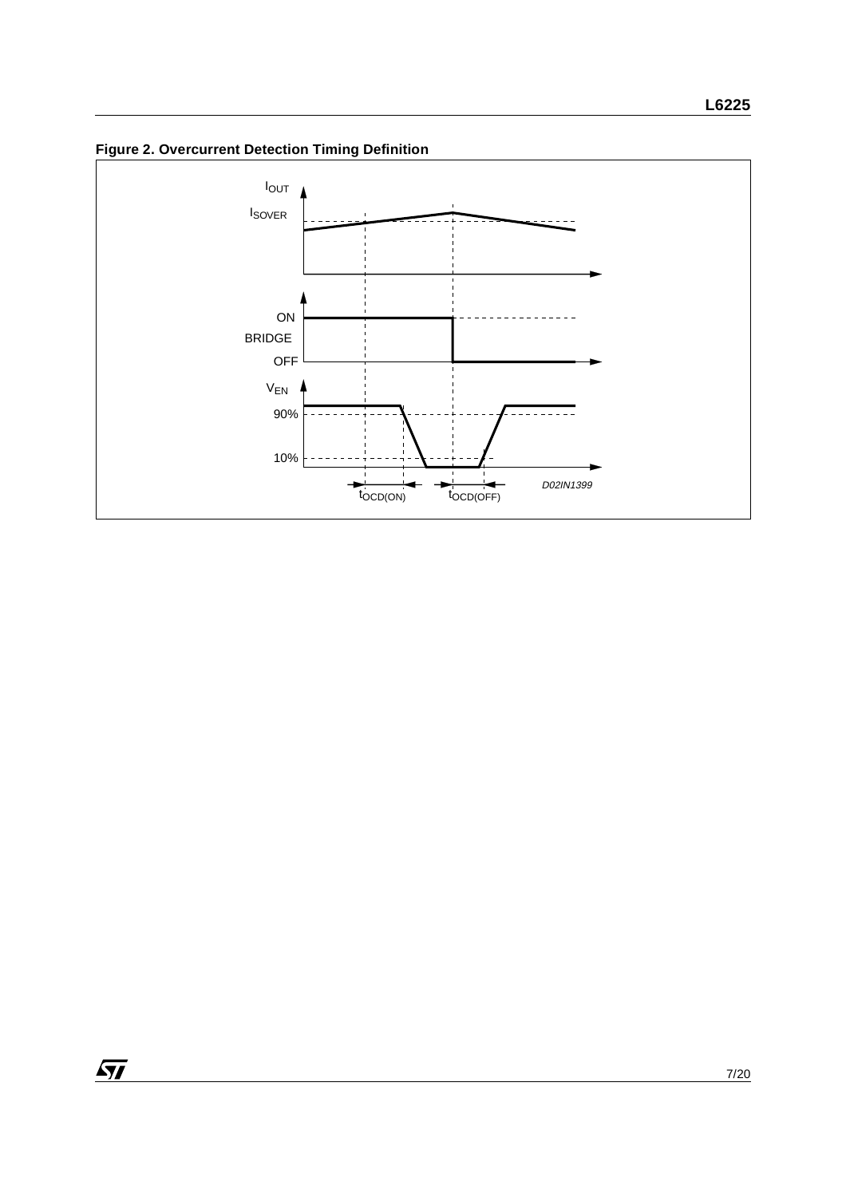**Figure 2. Overcurrent Detection Timing Definition**

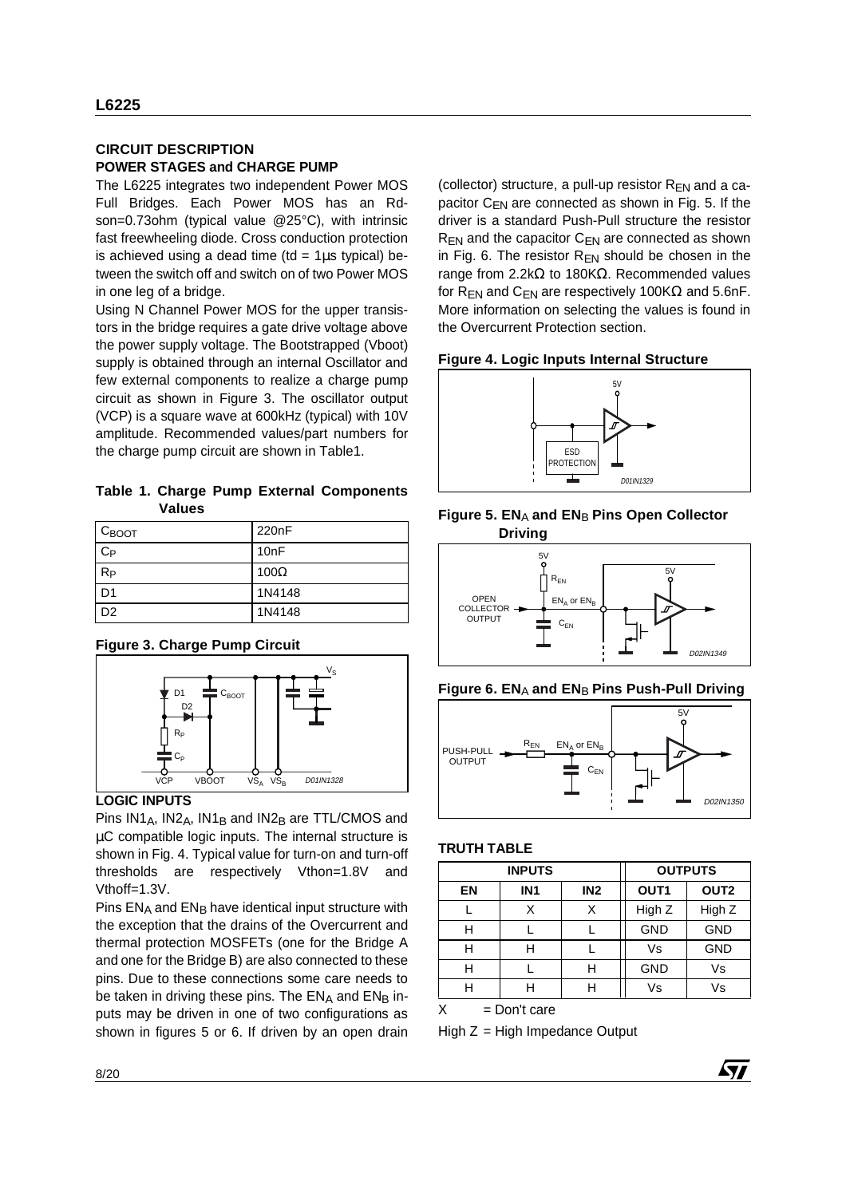#### **CIRCUIT DESCRIPTION POWER STAGES and CHARGE PUMP**

The L6225 integrates two independent Power MOS Full Bridges. Each Power MOS has an Rdson=0.73ohm (typical value @25°C), with intrinsic fast freewheeling diode. Cross conduction protection is achieved using a dead time (td =  $1\mu s$  typical) between the switch off and switch on of two Power MOS in one leg of a bridge.

Using N Channel Power MOS for the upper transistors in the bridge requires a gate drive voltage above the power supply voltage. The Bootstrapped (Vboot) supply is obtained through an internal Oscillator and few external components to realize a charge pump circuit as shown in Figure 3. The oscillator output (VCP) is a square wave at 600kHz (typical) with 10V amplitude. Recommended values/part numbers for the charge pump circuit are shown in Table1.

**Table 1. Charge Pump External Components Values**

| $C_{\text{BOOT}}$ | 220 <sub>n</sub> F |
|-------------------|--------------------|
| $C_{P}$           | 10 <sub>n</sub> F  |
| $R_{P}$           | 100 $\Omega$       |
| D <sub>1</sub>    | 1N4148             |
| D <sub>2</sub>    | 1N4148             |

#### **Figure 3. Charge Pump Circuit**



#### **LOGIC INPUTS**

Pins  $IN1_A$ ,  $IN2_A$ ,  $IN1_B$  and  $IN2_B$  are TTL/CMOS and µC compatible logic inputs. The internal structure is shown in Fig. 4. Typical value for turn-on and turn-off thresholds are respectively Vthon=1.8V and Vthoff=1.3V.

Pins ENA and ENB have identical input structure with the exception that the drains of the Overcurrent and thermal protection MOSFETs (one for the Bridge A and one for the Bridge B) are also connected to these pins. Due to these connections some care needs to be taken in driving these pins. The  $EN_A$  and  $EN_B$  inputs may be driven in one of two configurations as shown in figures 5 or 6. If driven by an open drain (collector) structure, a pull-up resistor  $R_{EN}$  and a capacitor  $C_{FN}$  are connected as shown in Fig. 5. If the driver is a standard Push-Pull structure the resistor  $R_{FN}$  and the capacitor  $C_{FN}$  are connected as shown in Fig. 6. The resistor  $R_{EN}$  should be chosen in the range from 2.2kΩ to 180KΩ. Recommended values for R<sub>EN</sub> and C<sub>EN</sub> are respectively 100K $\Omega$  and 5.6nF. More information on selecting the values is found in the Overcurrent Protection section.

#### **Figure 4. Logic Inputs Internal Structure**











#### **TRUTH TABLE**

| <b>INPUTS</b> |                 |                 | <b>OUTPUTS</b>   |                  |  |
|---------------|-----------------|-----------------|------------------|------------------|--|
| EN            | IN <sub>1</sub> | IN <sub>2</sub> | OUT <sub>1</sub> | OUT <sub>2</sub> |  |
|               | Χ               | Χ               | High Z           | High Z           |  |
|               |                 |                 | <b>GND</b>       | <b>GND</b>       |  |
|               | Н               |                 | Vs               | <b>GND</b>       |  |
| н             |                 | н               | <b>GND</b>       | Vs               |  |
|               | н               |                 | Vs               | Vs               |  |

57

 $X = Don't care$ 

High  $Z =$  High Impedance Output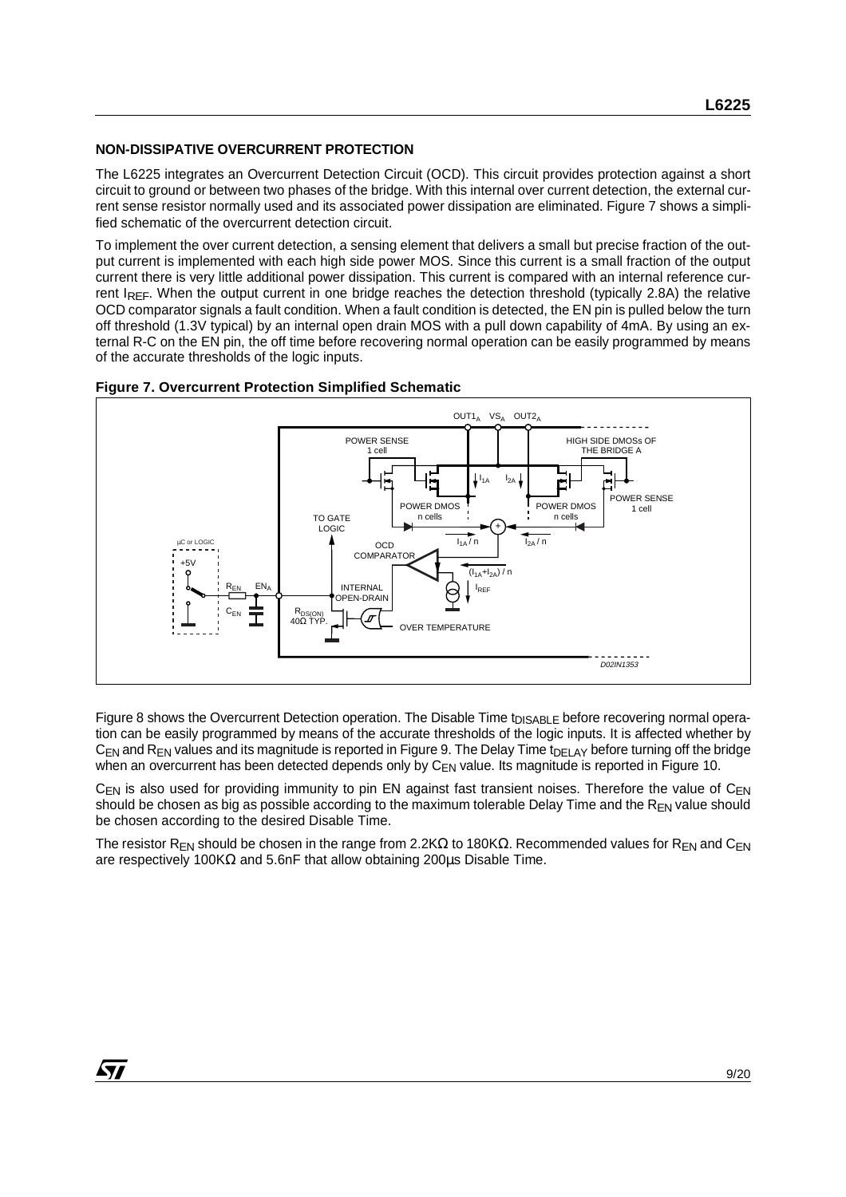#### **NON-DISSIPATIVE OVERCURRENT PROTECTION**

The L6225 integrates an Overcurrent Detection Circuit (OCD). This circuit provides protection against a short circuit to ground or between two phases of the bridge. With this internal over current detection, the external current sense resistor normally used and its associated power dissipation are eliminated. Figure 7 shows a simplified schematic of the overcurrent detection circuit.

To implement the over current detection, a sensing element that delivers a small but precise fraction of the output current is implemented with each high side power MOS. Since this current is a small fraction of the output current there is very little additional power dissipation. This current is compared with an internal reference current IREF. When the output current in one bridge reaches the detection threshold (typically 2.8A) the relative OCD comparator signals a fault condition. When a fault condition is detected, the EN pin is pulled below the turn off threshold (1.3V typical) by an internal open drain MOS with a pull down capability of 4mA. By using an external R-C on the EN pin, the off time before recovering normal operation can be easily programmed by means of the accurate thresholds of the logic inputs.



#### **Figure 7. Overcurrent Protection Simplified Schematic**

Figure 8 shows the Overcurrent Detection operation. The Disable Time t<sub>DISABLE</sub> before recovering normal operation can be easily programmed by means of the accurate thresholds of the logic inputs. It is affected whether by  $C_{EN}$  and  $R_{EN}$  values and its magnitude is reported in Figure 9. The Delay Time t<sub>DELAY</sub> before turning off the bridge when an overcurrent has been detected depends only by  $C_{FN}$  value. Its magnitude is reported in Figure 10.

 $C_{FN}$  is also used for providing immunity to pin EN against fast transient noises. Therefore the value of  $C_{FN}$ should be chosen as big as possible according to the maximum tolerable Delay Time and the  $R_{FN}$  value should be chosen according to the desired Disable Time.

The resistor R<sub>EN</sub> should be chosen in the range from 2.2K $\Omega$  to 180K $\Omega$ . Recommended values for R<sub>EN</sub> and C<sub>EN</sub> are respectively 100KΩ and 5.6nF that allow obtaining 200µs Disable Time.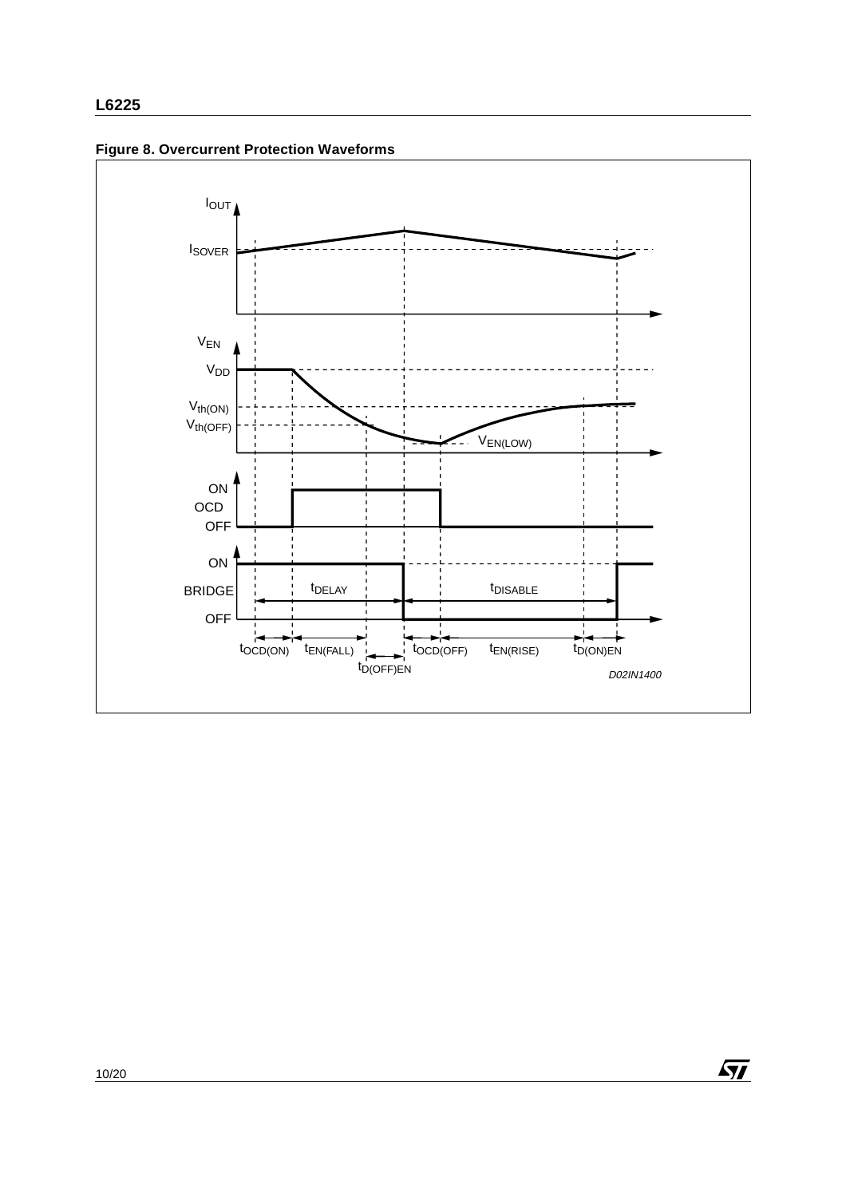



 $\sqrt{M}$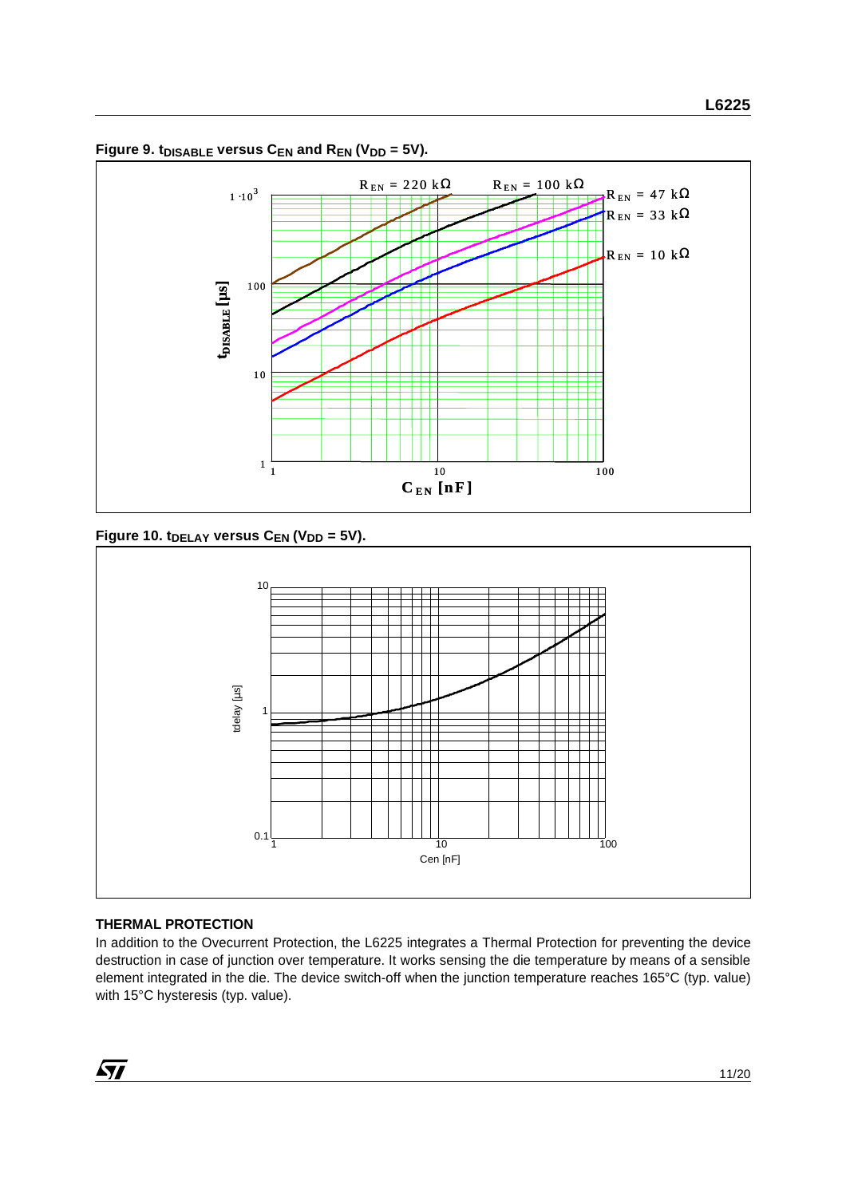

Figure 9. t<sub>DISABLE</sub> versus  $C_{EN}$  and  $R_{EN}$  (V<sub>DD</sub> = 5V).

Figure 10. t<sub>DELAY</sub> versus C<sub>EN</sub> (V<sub>DD</sub> = 5V).



# **THERMAL PROTECTION**

In addition to the Ovecurrent Protection, the L6225 integrates a Thermal Protection for preventing the device destruction in case of junction over temperature. It works sensing the die temperature by means of a sensible element integrated in the die. The device switch-off when the junction temperature reaches 165°C (typ. value) with 15°C hysteresis (typ. value).

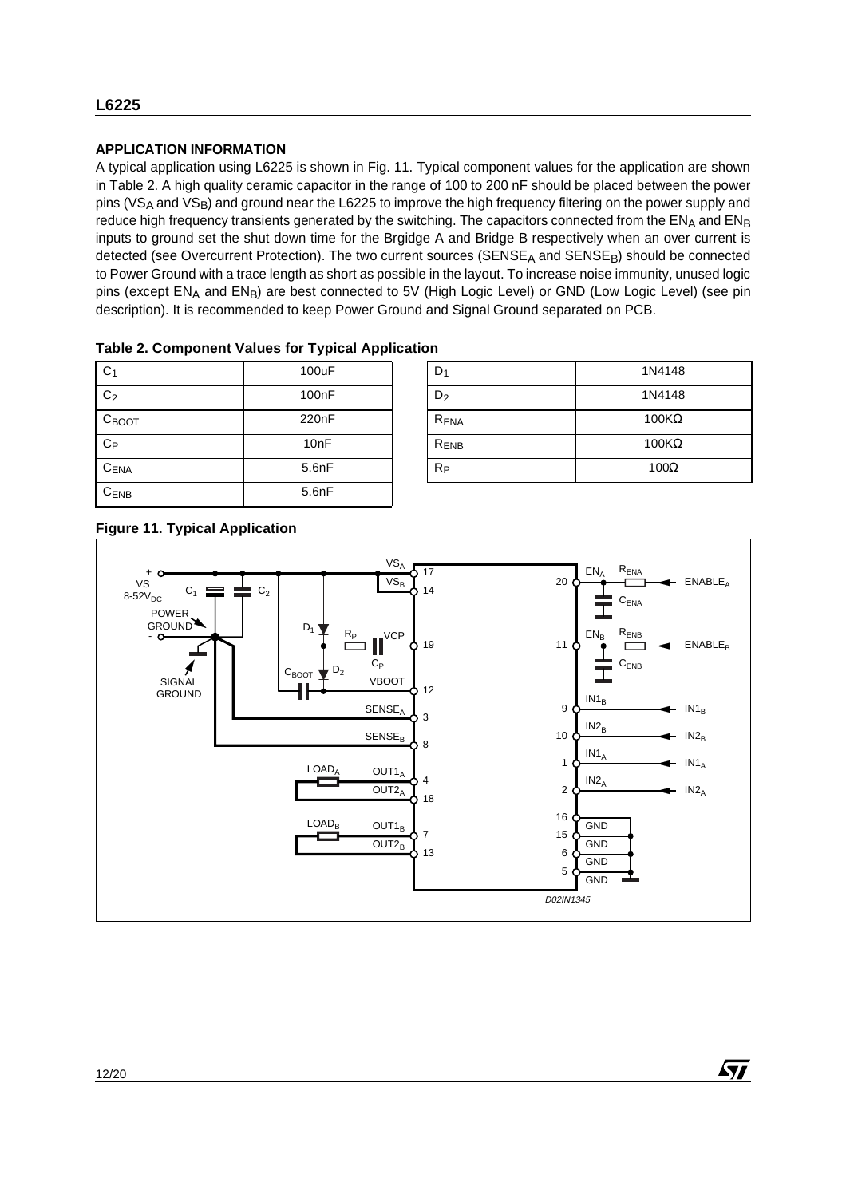#### **APPLICATION INFORMATION**

A typical application using L6225 is shown in Fig. 11. Typical component values for the application are shown in Table 2. A high quality ceramic capacitor in the range of 100 to 200 nF should be placed between the power pins (VS<sub>A</sub> and VS<sub>B</sub>) and ground near the L6225 to improve the high frequency filtering on the power supply and reduce high frequency transients generated by the switching. The capacitors connected from the ENA and ENB inputs to ground set the shut down time for the Brgidge A and Bridge B respectively when an over current is detected (see Overcurrent Protection). The two current sources (SENSE<sub>A</sub> and SENSE<sub>B</sub>) should be connected to Power Ground with a trace length as short as possible in the layout. To increase noise immunity, unused logic pins (except EN<sub>A</sub> and EN<sub>B</sub>) are best connected to 5V (High Logic Level) or GND (Low Logic Level) (see pin description). It is recommended to keep Power Ground and Signal Ground separated on PCB.

| <b>Table 2. Component Values for Typical Application</b> |  |
|----------------------------------------------------------|--|
|----------------------------------------------------------|--|

| C <sub>1</sub>    | 100uF              | D <sub>1</sub>   | 1N4148       |
|-------------------|--------------------|------------------|--------------|
| C <sub>2</sub>    | 100 <sub>n</sub> F | $D_2$            | 1N4148       |
| $C_{\text{BOOT}}$ | 220 <sub>n</sub> F | R <sub>ENA</sub> | $100K\Omega$ |
| $C_{P}$           | 10nF               | R <sub>ENB</sub> | $100K\Omega$ |
| CENA              | 5.6nF              | $R_{P}$          | $100\Omega$  |
| $C_{ENB}$         | 5.6nF              |                  |              |

| D <sub>1</sub>   | 1N4148       |
|------------------|--------------|
| $D_2$            | 1N4148       |
| R <sub>ENA</sub> | $100K\Omega$ |
| R <sub>ENB</sub> | $100K\Omega$ |
| Rр               | $100\Omega$  |

57

# **Figure 11. Typical Application**

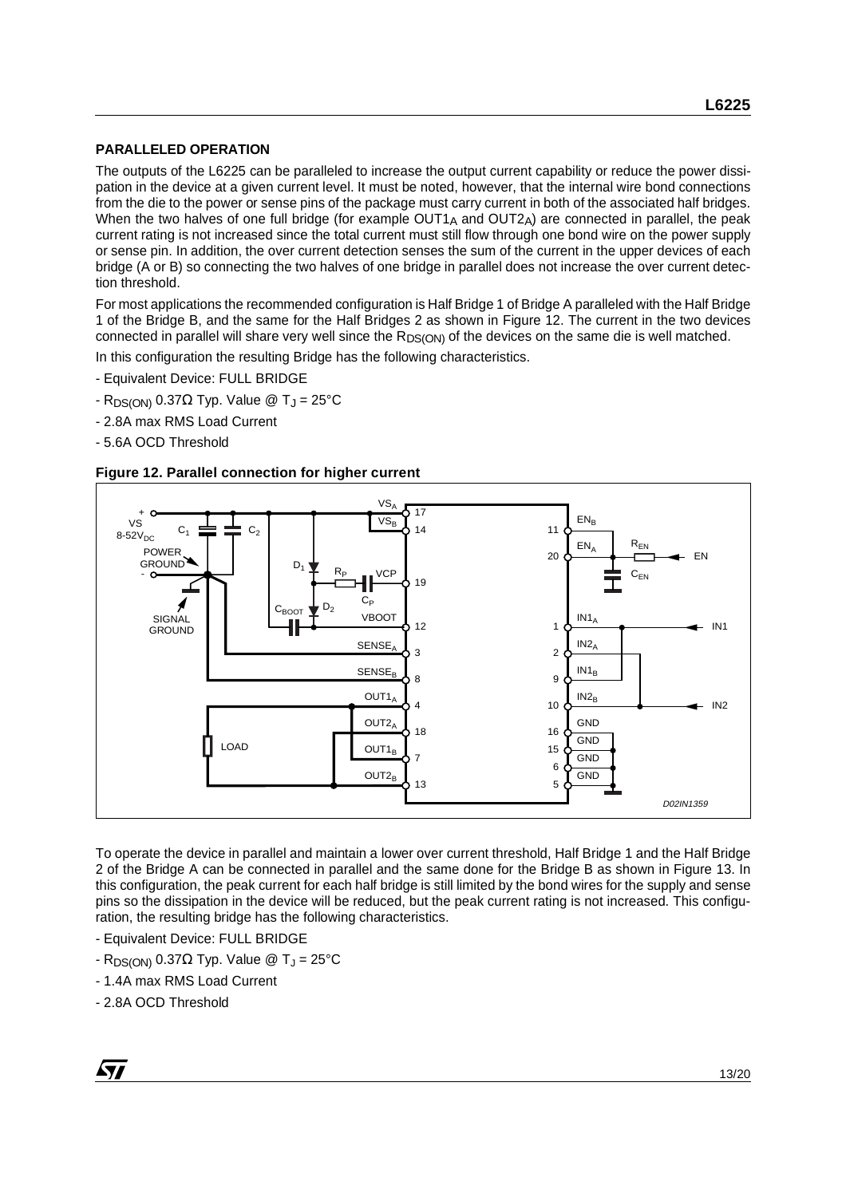#### **PARALLELED OPERATION**

The outputs of the L6225 can be paralleled to increase the output current capability or reduce the power dissipation in the device at a given current level. It must be noted, however, that the internal wire bond connections from the die to the power or sense pins of the package must carry current in both of the associated half bridges. When the two halves of one full bridge (for example  $OUT1_A$  and  $OUT2_A)$  are connected in parallel, the peak current rating is not increased since the total current must still flow through one bond wire on the power supply or sense pin. In addition, the over current detection senses the sum of the current in the upper devices of each bridge (A or B) so connecting the two halves of one bridge in parallel does not increase the over current detection threshold.

For most applications the recommended configuration is Half Bridge 1 of Bridge A paralleled with the Half Bridge 1 of the Bridge B, and the same for the Half Bridges 2 as shown in Figure 12. The current in the two devices connected in parallel will share very well since the R<sub>DS(ON)</sub> of the devices on the same die is well matched.

In this configuration the resulting Bridge has the following characteristics.

- Equivalent Device: FULL BRIDGE
- R<sub>DS(ON)</sub> 0.37Ω Typ. Value @ T<sub>J</sub> = 25°C
- 2.8A max RMS Load Current
- 5.6A OCD Threshold





To operate the device in parallel and maintain a lower over current threshold, Half Bridge 1 and the Half Bridge 2 of the Bridge A can be connected in parallel and the same done for the Bridge B as shown in Figure 13. In this configuration, the peak current for each half bridge is still limited by the bond wires for the supply and sense pins so the dissipation in the device will be reduced, but the peak current rating is not increased. This configuration, the resulting bridge has the following characteristics.

- Equivalent Device: FULL BRIDGE
- $-R_{DS(ON)}$  0.37Ω Typ. Value @ T<sub>J</sub> = 25°C
- 1.4A max RMS Load Current
- 2.8A OCD Threshold

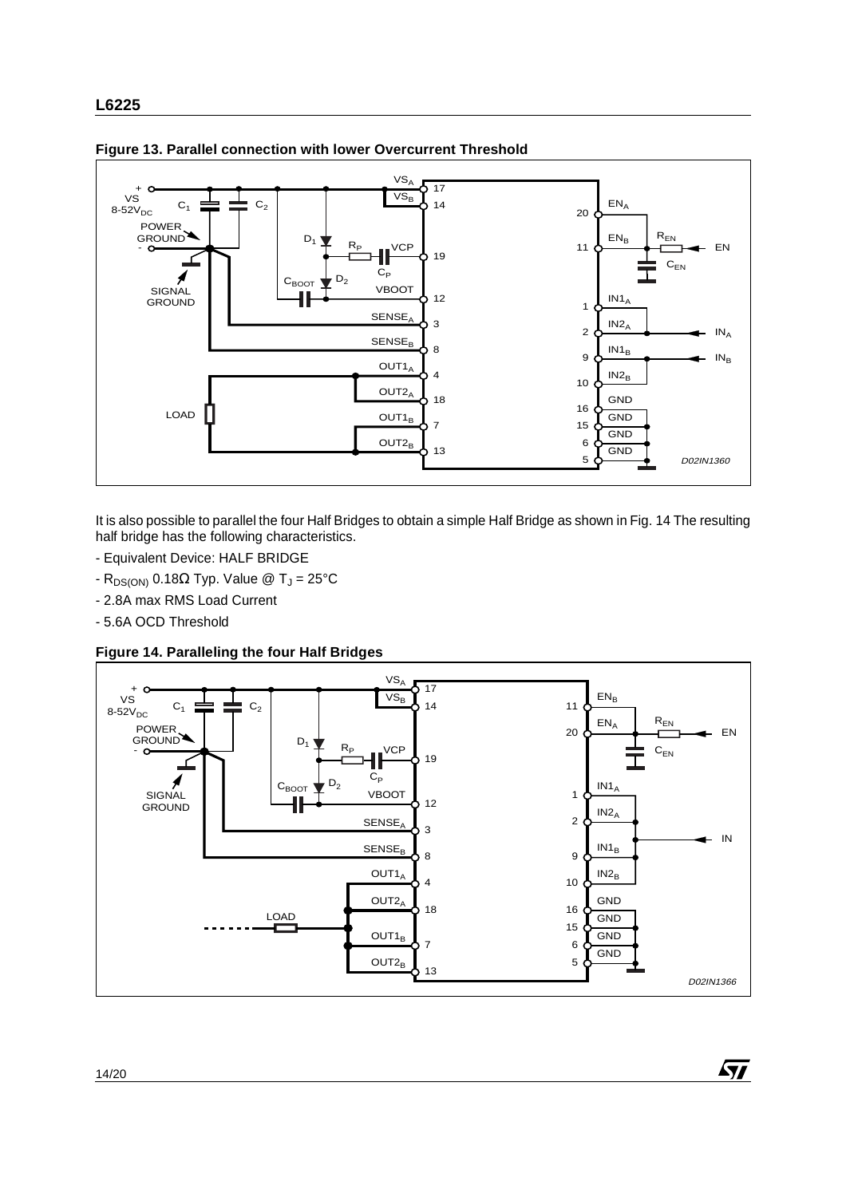

**Figure 13. Parallel connection with lower Overcurrent Threshold**

It is also possible to parallel the four Half Bridges to obtain a simple Half Bridge as shown in Fig. 14 The resulting half bridge has the following characteristics.

- Equivalent Device: HALF BRIDGE
- R<sub>DS(ON)</sub> 0.18Ω Typ. Value @ T<sub>J</sub> = 25°C
- 2.8A max RMS Load Current
- 5.6A OCD Threshold

**Figure 14. Paralleling the four Half Bridges**



 $\sqrt{2}$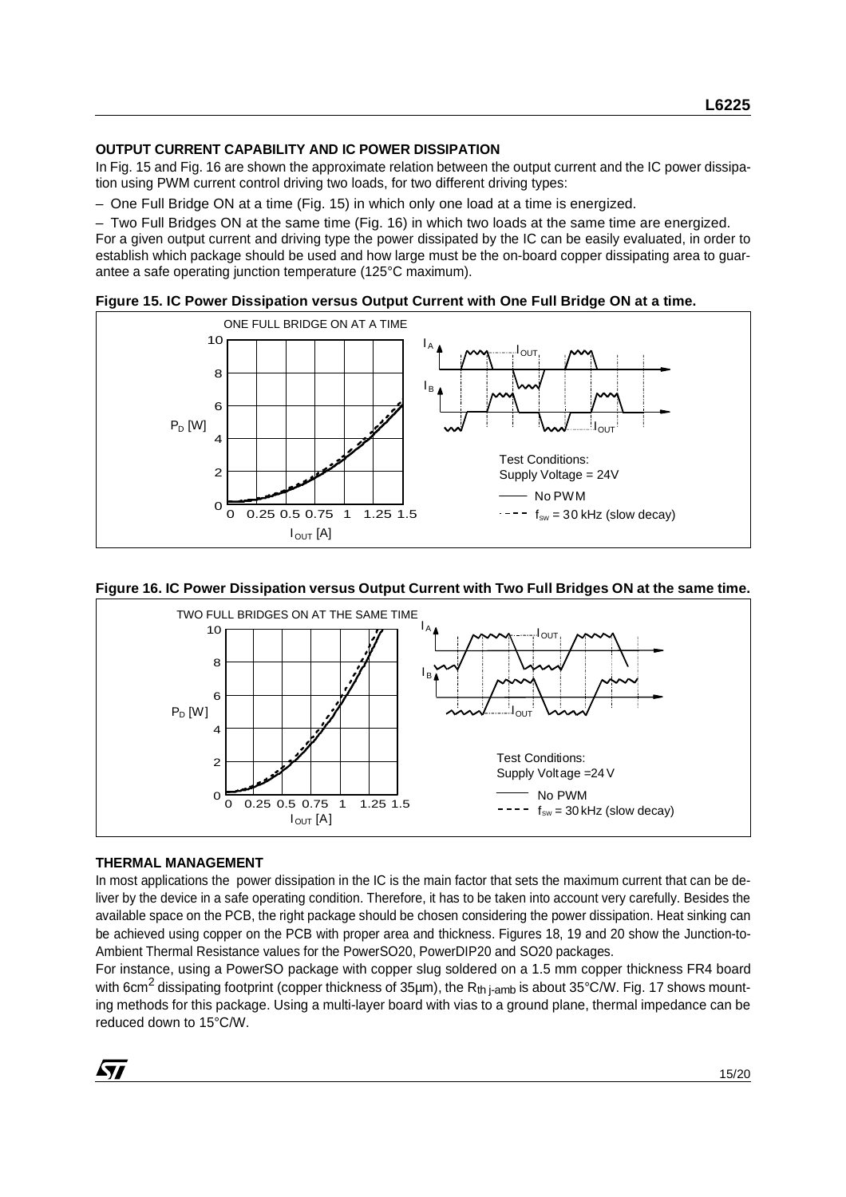#### **OUTPUT CURRENT CAPABILITY AND IC POWER DISSIPATION**

In Fig. 15 and Fig. 16 are shown the approximate relation between the output current and the IC power dissipation using PWM current control driving two loads, for two different driving types:

– One Full Bridge ON at a time (Fig. 15) in which only one load at a time is energized.

– Two Full Bridges ON at the same time (Fig. 16) in which two loads at the same time are energized. For a given output current and driving type the power dissipated by the IC can be easily evaluated, in order to establish which package should be used and how large must be the on-board copper dissipating area to guarantee a safe operating junction temperature (125°C maximum).





#### **Figure 16. IC Power Dissipation versus Output Current with Two Full Bridges ON at the same time.**



#### **THERMAL MANAGEMENT**

In most applications the power dissipation in the IC is the main factor that sets the maximum current that can be deliver by the device in a safe operating condition. Therefore, it has to be taken into account very carefully. Besides the available space on the PCB, the right package should be chosen considering the power dissipation. Heat sinking can be achieved using copper on the PCB with proper area and thickness. Figures 18, 19 and 20 show the Junction-to-Ambient Thermal Resistance values for the PowerSO20, PowerDIP20 and SO20 packages.

For instance, using a PowerSO package with copper slug soldered on a 1.5 mm copper thickness FR4 board with 6cm<sup>2</sup> dissipating footprint (copper thickness of 35µm), the R<sub>th i-amb</sub> is about 35°C/W. Fig. 17 shows mounting methods for this package. Using a multi-layer board with vias to a ground plane, thermal impedance can be reduced down to 15°C/W.

*ky*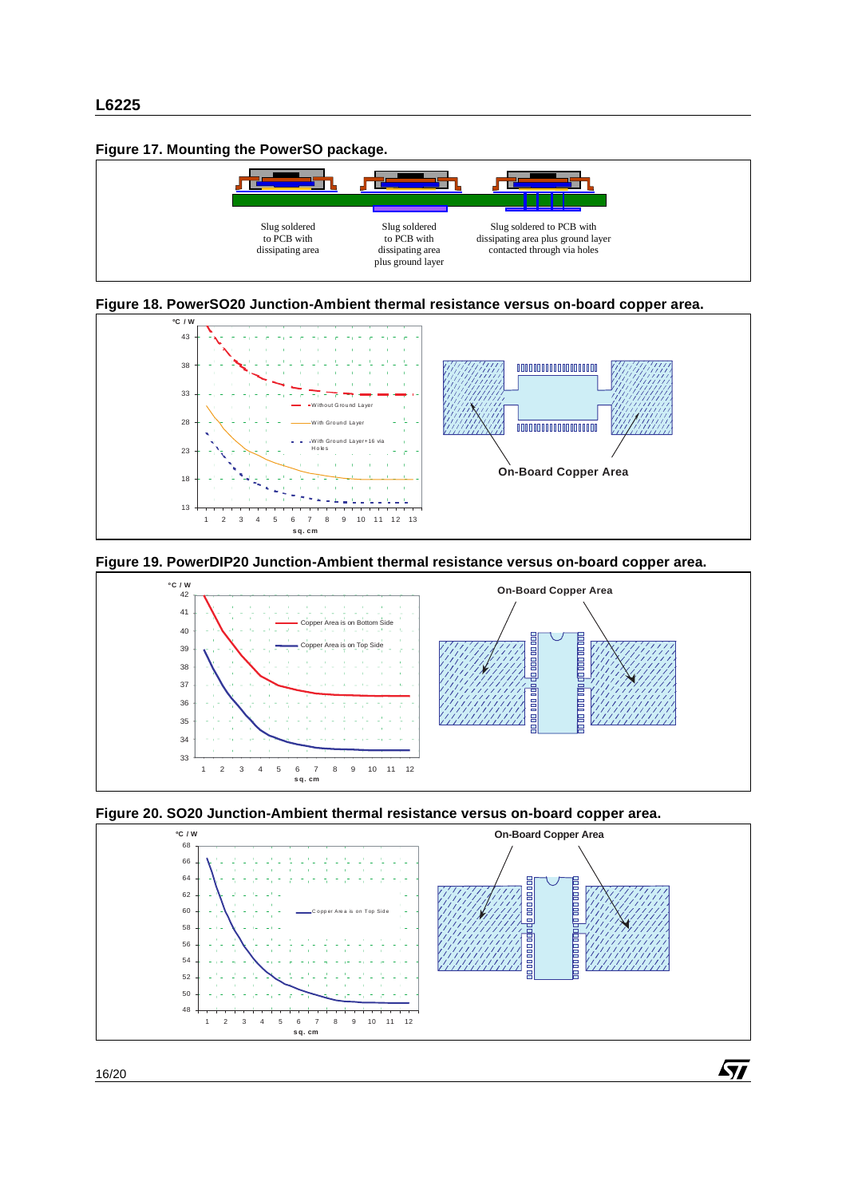#### **Figure 17. Mounting the PowerSO package.**















 $\sqrt{2}$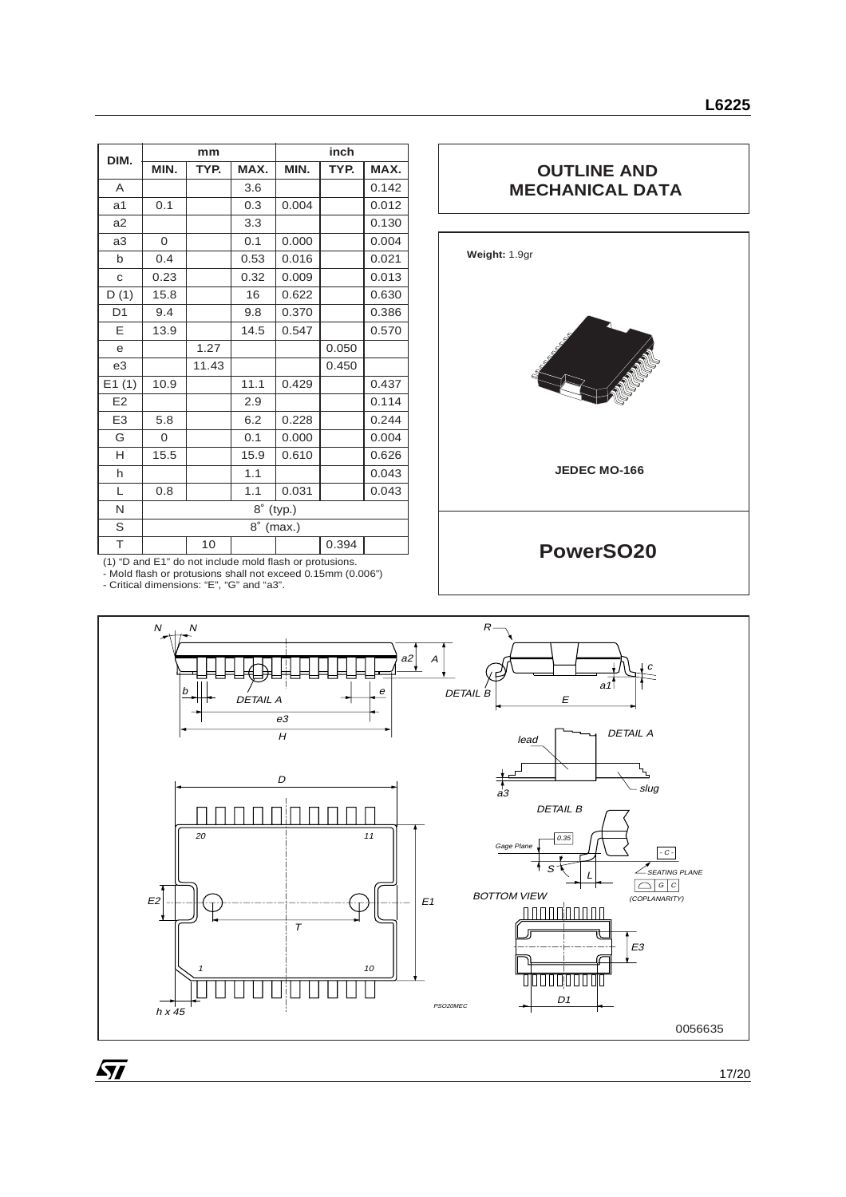| DIM.           | mm                  |       | inch |       |       |       |
|----------------|---------------------|-------|------|-------|-------|-------|
|                | MIN.                | TYP.  | MAX. | MIN.  | TYP.  | MAX.  |
| A              |                     |       | 3.6  |       |       | 0.142 |
| a <sub>1</sub> | 0.1                 |       | 0.3  | 0.004 |       | 0.012 |
| a2             |                     |       | 3.3  |       |       | 0.130 |
| a3             | 0                   |       | 0.1  | 0.000 |       | 0.004 |
| $\mathsf{b}$   | 0.4                 |       | 0.53 | 0.016 |       | 0.021 |
| C              | 0.23                |       | 0.32 | 0.009 |       | 0.013 |
| D(1)           | 15.8                |       | 16   | 0.622 |       | 0.630 |
| D <sub>1</sub> | 9.4                 |       | 9.8  | 0.370 |       | 0.386 |
| E              | 13.9                |       | 14.5 | 0.547 |       | 0.570 |
| $\mathsf{e}$   |                     | 1.27  |      |       | 0.050 |       |
| e3             |                     | 11.43 |      |       | 0.450 |       |
| E1(1)          | 10.9                |       | 11.1 | 0.429 |       | 0.437 |
| E2             |                     |       | 2.9  |       |       | 0.114 |
| E <sub>3</sub> | 5.8                 |       | 6.2  | 0.228 |       | 0.244 |
| G              | $\mathbf{O}$        |       | 0.1  | 0.000 |       | 0.004 |
| H              | 15.5                |       | 15.9 | 0.610 |       | 0.626 |
| h              |                     |       | 1.1  |       |       | 0.043 |
| L              | 0.8                 |       | 1.1  | 0.031 |       | 0.043 |
| N              | $8^\circ$<br>(typ.) |       |      |       |       |       |
| S              | $8^\circ$<br>(max.) |       |      |       |       |       |
| T              |                     | 10    |      |       | 0.394 |       |

# **OUTLINE AND MECHANICAL DATA**



(1) "D and E1" do not include mold flash or protusions. - Mold flash or protusions shall not exceed 0.15mm (0.006") - Critical dimensions: "E", "G" and "a3".

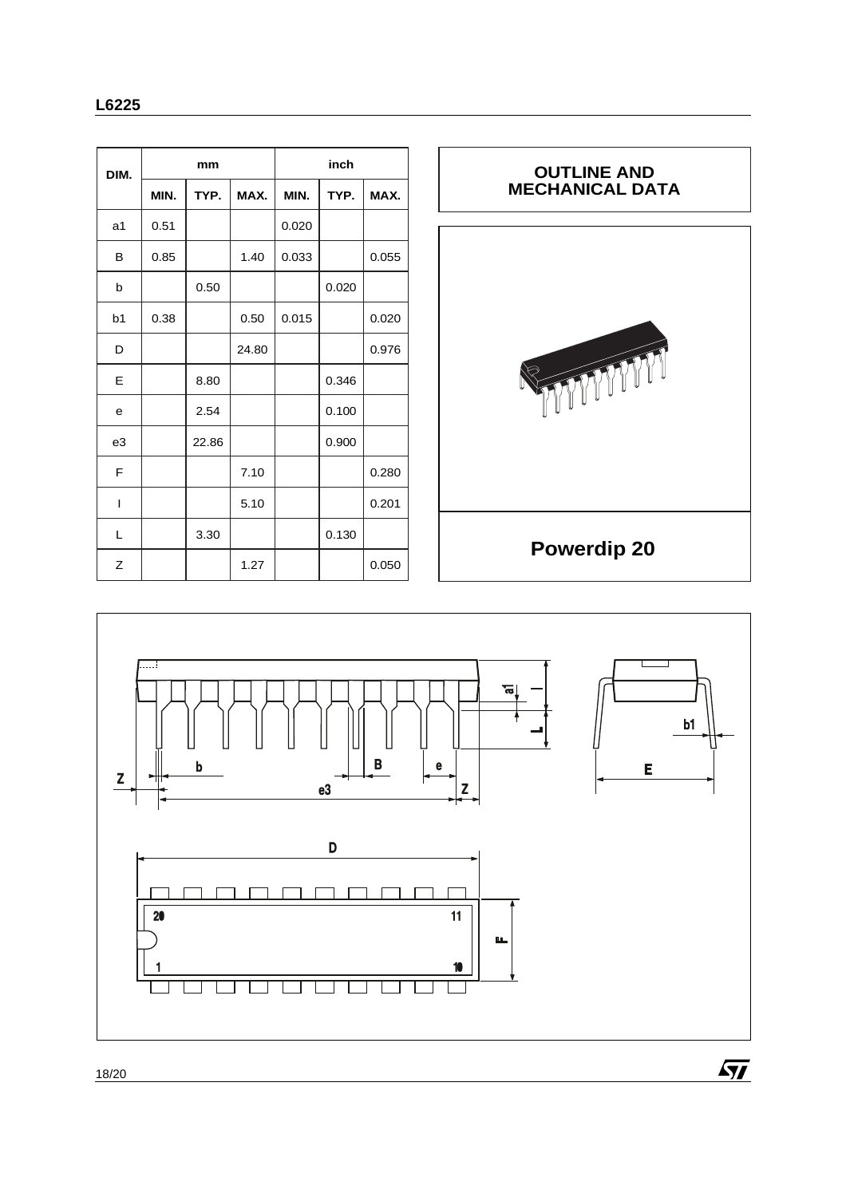| DIM.           | mm   |       | inch  |       |       |       |
|----------------|------|-------|-------|-------|-------|-------|
|                | MIN. | TYP.  | MAX.  | MIN.  | TYP.  | MAX.  |
| a <sub>1</sub> | 0.51 |       |       | 0.020 |       |       |
| B              | 0.85 |       | 1.40  | 0.033 |       | 0.055 |
| b              |      | 0.50  |       |       | 0.020 |       |
| b <sub>1</sub> | 0.38 |       | 0.50  | 0.015 |       | 0.020 |
| D              |      |       | 24.80 |       |       | 0.976 |
| Е              |      | 8.80  |       |       | 0.346 |       |
| e              |      | 2.54  |       |       | 0.100 |       |
| e3             |      | 22.86 |       |       | 0.900 |       |
| F              |      |       | 7.10  |       |       | 0.280 |
| $\overline{1}$ |      |       | 5.10  |       |       | 0.201 |
| L              |      | 3.30  |       |       | 0.130 |       |
| Z              |      |       | 1.27  |       |       | 0.050 |

# **OUTLINE AND MECHANICAL DATA**WWW **Powerdip 20**

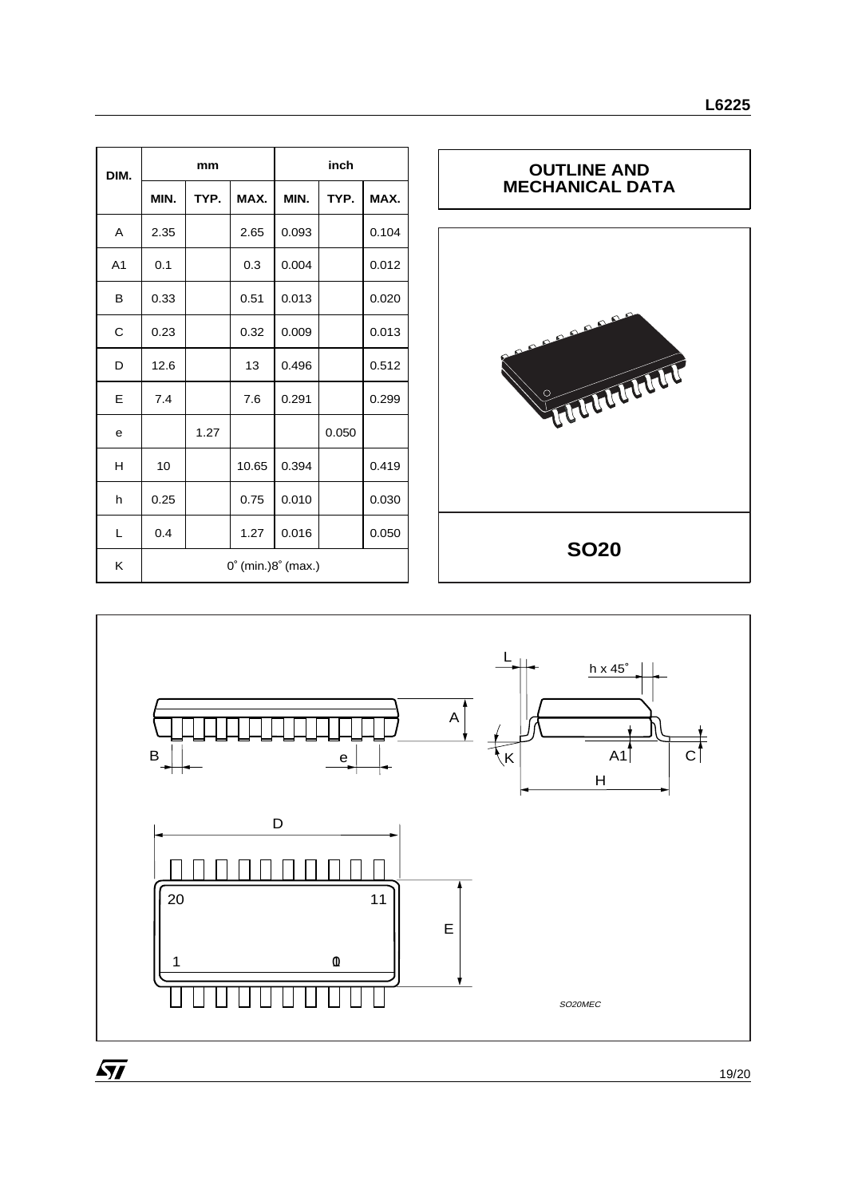| DIM.           | mm                                    |      |       | inch  |       |       |
|----------------|---------------------------------------|------|-------|-------|-------|-------|
|                | MIN.                                  | TYP. | MAX.  | MIN.  | TYP.  | MAX.  |
| A              | 2.35                                  |      | 2.65  | 0.093 |       | 0.104 |
| A <sub>1</sub> | 0.1                                   |      | 0.3   | 0.004 |       | 0.012 |
| в              | 0.33                                  |      | 0.51  | 0.013 |       | 0.020 |
| C              | 0.23                                  |      | 0.32  | 0.009 |       | 0.013 |
| D              | 12.6                                  |      | 13    | 0.496 |       | 0.512 |
| E              | 7.4                                   |      | 7.6   | 0.291 |       | 0.299 |
| е              |                                       | 1.27 |       |       | 0.050 |       |
| н              | 10                                    |      | 10.65 | 0.394 |       | 0.419 |
| h              | 0.25                                  |      | 0.75  | 0.010 |       | 0.030 |
| L              | 0.4                                   |      | 1.27  | 0.016 |       | 0.050 |
| K              | $0^{\circ}$ (min.) $8^{\circ}$ (max.) |      |       |       |       |       |